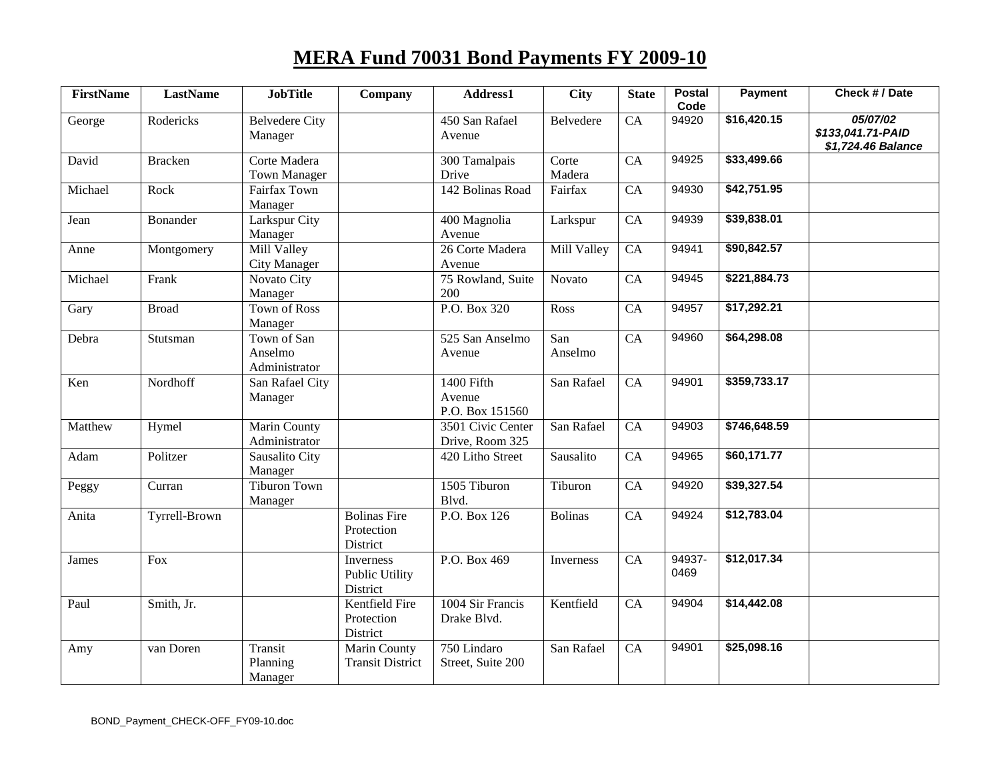## **MERA Fund 70031 Bond Payments FY 2009-10**

| <b>FirstName</b> | <b>LastName</b> | <b>JobTitle</b>                         | Company                                        | Address1                                | <b>City</b>     | <b>State</b>    | <b>Postal</b><br>Code | <b>Payment</b> | Check # / Date                                      |
|------------------|-----------------|-----------------------------------------|------------------------------------------------|-----------------------------------------|-----------------|-----------------|-----------------------|----------------|-----------------------------------------------------|
| George           | Rodericks       | <b>Belvedere City</b><br>Manager        |                                                | 450 San Rafael<br>Avenue                | Belvedere       | $\overline{CA}$ | 94920                 | \$16,420.15    | 05/07/02<br>\$133,041.71-PAID<br>\$1,724.46 Balance |
| David            | <b>Bracken</b>  | Corte Madera<br><b>Town Manager</b>     |                                                | 300 Tamalpais<br>Drive                  | Corte<br>Madera | CA              | 94925                 | \$33,499.66    |                                                     |
| Michael          | Rock            | Fairfax Town<br>Manager                 |                                                | 142 Bolinas Road                        | Fairfax         | CA              | 94930                 | \$42,751.95    |                                                     |
| Jean             | <b>Bonander</b> | Larkspur City<br>Manager                |                                                | 400 Magnolia<br>Avenue                  | Larkspur        | CA              | 94939                 | \$39,838.01    |                                                     |
| Anne             | Montgomery      | Mill Valley<br><b>City Manager</b>      |                                                | 26 Corte Madera<br>Avenue               | Mill Valley     | CA              | 94941                 | \$90,842.57    |                                                     |
| Michael          | Frank           | Novato City<br>Manager                  |                                                | 75 Rowland, Suite<br>200                | Novato          | CA              | 94945                 | \$221,884.73   |                                                     |
| Gary             | <b>Broad</b>    | <b>Town of Ross</b><br>Manager          |                                                | P.O. Box 320                            | Ross            | CA              | 94957                 | \$17,292.21    |                                                     |
| Debra            | Stutsman        | Town of San<br>Anselmo<br>Administrator |                                                | 525 San Anselmo<br>Avenue               | San<br>Anselmo  | CA              | 94960                 | \$64,298.08    |                                                     |
| Ken              | Nordhoff        | San Rafael City<br>Manager              |                                                | 1400 Fifth<br>Avenue<br>P.O. Box 151560 | San Rafael      | CA              | 94901                 | \$359,733.17   |                                                     |
| Matthew          | Hymel           | <b>Marin County</b><br>Administrator    |                                                | 3501 Civic Center<br>Drive, Room 325    | San Rafael      | CA              | 94903                 | \$746,648.59   |                                                     |
| Adam             | Politzer        | Sausalito City<br>Manager               |                                                | 420 Litho Street                        | Sausalito       | CA              | 94965                 | \$60,171.77    |                                                     |
| Peggy            | Curran          | <b>Tiburon Town</b><br>Manager          |                                                | 1505 Tiburon<br>Blvd.                   | Tiburon         | CA              | 94920                 | \$39,327.54    |                                                     |
| Anita            | Tyrrell-Brown   |                                         | <b>Bolinas Fire</b><br>Protection<br>District  | P.O. Box 126                            | <b>Bolinas</b>  | CA              | 94924                 | \$12,783.04    |                                                     |
| James            | Fox             |                                         | <b>Inverness</b><br>Public Utility<br>District | P.O. Box 469                            | Inverness       | CA              | 94937-<br>0469        | \$12,017.34    |                                                     |
| Paul             | Smith, Jr.      |                                         | Kentfield Fire<br>Protection<br>District       | 1004 Sir Francis<br>Drake Blvd.         | Kentfield       | CA              | 94904                 | \$14,442.08    |                                                     |
| Amy              | van Doren       | Transit<br>Planning<br>Manager          | <b>Marin County</b><br><b>Transit District</b> | 750 Lindaro<br>Street, Suite 200        | San Rafael      | CA              | 94901                 | \$25,098.16    |                                                     |